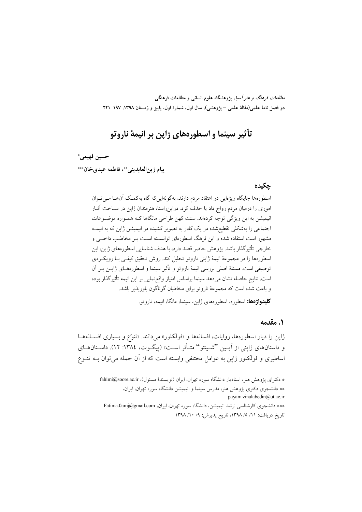*مطالعات فرهنگ و هنر آسیا*، پژوهشگاه علوم انسان<sub>ی</sub> و مطالعات فرهنگی دو فصل نامهٔ علمی(مقالهٔ علمی – پژوهشی)، سال اول، شمارهٔ اول، پاییز و زمستان ۱۳۹۸، ۱۹۷–۲۲۱

# تأثیر سینما و اسطورههای ژاپن بر انیمهٔ ناروتو

#### حسين فهيمي.\*

ييام زين العابديني \*\*، فاطمه عبدي خان\*\*\*

#### حكىدە

اسطورهها جایگاه ویژهایی در اعتقاد مردم دارند، بهگونهایی که گاه بهکمک آنها می توان اموری را درمیان مردم رواج داد یا حذف کرد. دراین٫راستا، هنرمندان ژاپن در ســاخت آثــار انیمیشن به این ویژگی توجّه کردهاند. سنت کهن طراحی مانگاها کـه همـواره موضـوعات اجتماعی را بهشکلی تقطیع شده در یک کادر به تصویر کشیده در انیمیشن ژاپن که به انیمـه مشهور است استفاده شده و این فرهگ اسطورهای توانسـته اسـت بـر مخاطـب داخلـی و خارجي تأثيرگذار باشد. پژوهش حاضر قصد دارد، با هدف شناسايي اسطورههاي ژاپن، اين اسطورهها را در مجموعهٔ انیمهٔ ژاپنی ناروتو تحلیل کند. روش تحقیق کیفـی بـا رویکـردی توصیفی است. مسئلهٔ اصلی بررسی انیمهٔ ناروتو و تأثیر سینما و اسطورههـای ژاپــن بــر اَن است. نتايج حاصله نشان مىدهد سينما براساس امتياز واقع نمايي بر اين انيمه تأثيرگذار بوده و باعث شده است که مجموعهٔ ناروتو برای مخاطبان گوناگون باورپذیر باشد.

**کلیدواژهها:** اسطوره، اسطورههای ژاین، سینما، مانگا، انیمه، ناروتو.

#### ٠. مقدمه

ژاپن را دیار اسطورهها، روایات، افسانهها و «فولکلور» میدانند. «تنوّع و بسیاری افسانهها و داستانهای ژاپنی از آپین "شیبتو" متـأثر اسـت» (پیگـوت، ١٣٨٤: ١٢). داسـتانهـای اساطیری و فولکلور ژاپن به عوامل مختلفی وابسته است که از آن جمله می توان بــه تنــوع

> \* دکترای یژوهش هنر، استادیار دانشگاه سوره تهران، ایران (نویسندهٔ مسئول)، fahimi@soore.ac.ir \*\* دانشجوی دکتری پژوهش هنر، مدرس سینما و انیمیشن دانشگاه سوره تهران، ایران، payam.zinalabedin@ut.ac.ir \*\*\* دانشجوی کارشناسی ارشد انیمیشن، دانشگاه سوره تهران، ایران، Fatima.0amj@gmail.com تاریخ دریافت: ١١/ ٥/ ١٣٩٨، تاریخ پذیرش: ٩/ ١٠/ ١٣٩٨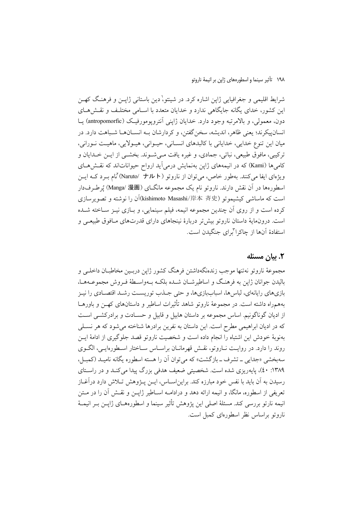شرایط اقلیمی و جغرافیایی ژاپن اشاره کرد. در شینتو،ٰ دین باستانی ژاپـن و فرهنـگ کهـن این کشور، خدای یگانه جایگاهی ندارد و خدایان متعدد با اسـامی مختلـف و نقـش۵حـای دون، معمولي، و بالامرتبه وجود دارد. خدايان ژاپني آنترويومورفيـک (antropomorfic) يــا انسان پیکرند؛ یعنی ظاهر، اندیشه، سخن گفتن، و کردارشان بـه انســانهــا شــباهت دارد. در میان این تنوع خدایی، خدایانی با کالبدهای انسـانی، حیـوانی، هیـولایی، ماهیـت نـورانی، ترکيبي، مافوق طبيعي، نباتي، جمادي، و غيره يافت مـي شــوند. بخشــي از ايــن خــدايان و کامیها (Kami) که در انیمههای ژاپن بهنمایش درمی آید ارواح حیواناتاند که نقشهای ویژهای ایفا می کنند. بهطور خاص، می توان از ناروتو (Waruto/ +JL K) آنام ببرد کـه ایــن اسطورهها در آن نقش دارند. ناروتو نام یک مجموعه مانگــای (Manga/ 漫画) یُرطـرفدار است که ماساشی کیشیموتو (kishimoto Masashi/岸本 斉史)آن را نوشته و تصویرسازی کرده است و از روی آن چندین مجموعه انیمه، فیلم سینمایی، و بـازی نیــز ســاخته شــده است. درون مایهٔ داستان ناروتو بیش تر دربارهٔ نینجاهای دارای قدرتهای مـافوق طبیعـی و استفادهٔ آنها از چاکرا"برای جنگیدن است.

#### ٢. بيان مسئله

مجموعهٔ ناروتو نهتنها موجب زندهنگهداشتن فرهنگ کشور ژاپن دربـین مخاطبــان داخلــی و باليدن جوانان ژاين به فرهنگ و اساطيرشـان شـده بلكـه بـهواسـطهٔ فـروش مجموعـههـا، بازیهای رایانهای، لباس ها، اسباببازیها، و حتی جـذب توریسـت رشـد اقتصـادی را نیـز بههمراه داشته است. در مجموعهٔ ناروتو شاهد تأثیرات اساطیر و داستانهای کهــن و باورهــا از ادیان گوناگونیم. اساس مجموعه بر داستان هابیل و قابیل و حسـادت و برادرکشــی اسـت که در ادیان ابراهیمی مطرح است. این داستان به نفرین برادرها شناخته میشود که هر نسـلی بهنوبهٔ خودش این اشتباه را انجام داده است و شخصیت ناروتو قصد جلوگیری از ادامهٔ ایــن روند را دارد. در روایـت نــاروتو، نقــش قهرمانــان براســاس ســاختار اســطورهايــي، الگــوي سهبخشی «جدایی \_ تشرف \_ بازگشت» که می توان آن را هسته اسطوره یگانه نامیـد (کمبـل، ۱۳۸۹: ٤٠)، پایهریزی شده است. شخصیتی ضعیف هدفی بزرگ پیدا میکند و در راستای رسیدن به آن باید با نفس خود مبارزه کند. براین اسـاس، ایــن پــژوهش تــلاش دارد درآغــاز تعریفی از اسطوره، مانگا، و انیمه ارائه دهد و درادامــه اســاطیر ژاپــن و نقــش آن را در مــتن انیمه نارتو بررسی کند. مسئلهٔ اصلی این یژوهش تأثیر سینما و اسطورههـای ژایــز بــر انیمــهٔ ناروتو براساس نظر اسطورهای کمبل است.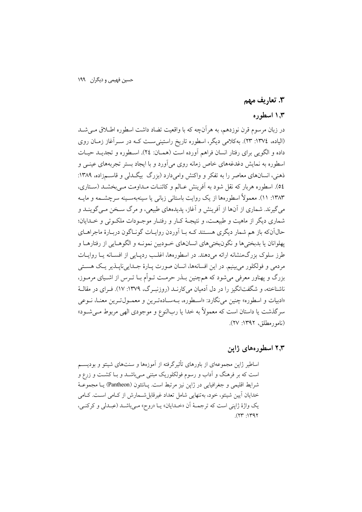#### 3. تعاريف مهم

## ۰٫۳ اسطو ره

در زبان مرسوم قرن نوزدهم، به هرآنچه که با واقعیت تضاد داشت اسطوره اطـلاق مــیشــد (الیاده، ١٣٧٤: ٢٣). بهکلامی دیگر، اسطوره تاریخ راستینیســت کــه در ســراَغاز زمــان روی داده و الگویی برای رفتار انسان فراهم آورده است (همـان: ٢٤). اسـطوره و تجدیــد حیـات اسطوره به نمایش دغدغههای خاص زمانه روی می آورد و با ایجاد بستر تجربههای عینــی و ذهنی، انسانهای معاصر را به تفکر و واکنش وامیدارد (بزرگ بیگ لی و قاسمزاده، ۱۳۸۹: ٥٤). اسطوره هربار كه نقل شود به أفرينش عـالم و كائنـات مـداومت مـيبخشـد (سـتاري، ۱۳۸۳: ۱۱). معمولاً اسطورهها از یک روایت پاستانی زبانی با سینهپهسینه سرچشیمه و ماییه می گیرند. شماری از آنها از آفرینش و آغاز، پدیدههای طبیعی، و مرگ سـخن مـی گوینـد و شماری دیگر از ماهیت و طبیعـت، و نتیجـهٔ کـار و رفتـار موجـودات ملکـوتی و خـدایان؛ حالآن که باز هم شمار دیگری هستند کـه بـا آوردن روایـات گونـاگون دربـارهٔ ماجراهـای يهلوانان يا بدبختي ها و نگون بختي هاي انسان هاي خــوديين نمونــه و الگو هــايي از رفتار هــا و طرز سلوک بزرگمنشانه ارائه میدهند. در اسطورهها، اغلـب ردیـایی از افســانه یــا روایــات مردمي و فولکلور مي بينيم. در اين افسانهها، انسان صورت پـارهٔ جـدايي نايــذير يــک هســتي بزرگ و پهناور معرفی می شود که هم چنین بــذر حرمـت تــوأم بــا تــرس از اشــيای مرمــوز، ناشناخته، و شگفتانگیز را در دل آدمیان می کارنــد (روزنبـرگ، ۱۳۷۹: ۱۷). فـرای در مقالـهٔ «ادبيات و اسطوره» چنين مي نگارد: «اسـطوره، بــهسـادهتـرين و معمــولتـرين معنــا، نــوعي سرگذشت یا داستان است که معمولاً به خدا یا ربالنوع و موجودی الهی مربوط مــیشــود» (نامورمطلق، ١٣٩٢: ٢٧).

۲٫۳ اسطو رههای ژاپن

اساطیر ژاین مجموعهای از باورهای تأثیرگرفته از آموزهها و سنتهای شینتو و بودیسـم است که بر فرهنگ و اَداب و رسوم فولکلوریک مبتنی مـیباشــد و بــا کشــت و زرع و شرايط اقليمي و جغرافيايي در ژاپن نيز مرتبط است. پـانتئون (Pantheon) يـا مجموعـهٔ خدایان آیین شینتو، خود، بهتنهایی شامل تعداد غیرقابل شــمارش از کــامی اســت. کــامی يک واژهٔ ژاپني است که ترجمـهٔ آن «خـدايان» يـا «روح» مـي!شـد (عبـدلي و کرکنـي،  $(114.11)$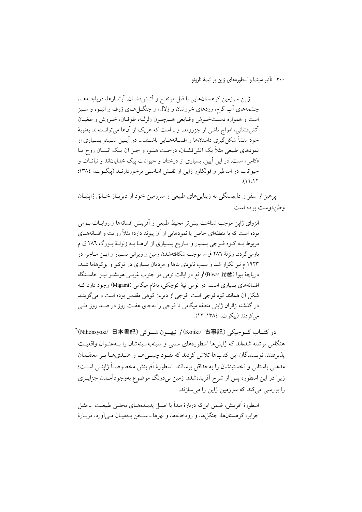ژاپن سرزمین کوهستانهایی با قلل مرتفع و اَتـش(فشــان، اَبشــارها، دریاچــههــا، چشمههای آب گرم، رودهای خروشان و زلال، و جنگــلهــای ژرف و انبــوه و ســبز است و همواره دسـتخـوش وقـايعي هـمچـون زلزلـه، طوفـان، خـروش و طغيـان آتش فشانی، امواج ناشی از جزرومد، و... است که هریک از آنها می توانستهاند بهنوبهٔ خود منشأ شکل گیری داستانها و افســانههــایی باشــند...، در آیــین شــینتو بســیاری از نمودهای طبیعی مثلاً یک آتشفشان، درخت هلـو، و جـز أن یـک انسـان روح یـا «کامی» است. در این آیین، بسیاری از درختان و حیوانات پیک خدایاناند و نباتـات و حیوانات در اساطیر و فولکلور ژاپن از نقـش اساسـی برخوردارنــد (پیگـوت، ١٣٨٤:  $(11.17$ 

یرهیز از سفر و دلبستگی به زیبایی های طبیعی و سرزمین خود از دیربـاز خــالق ژاپنیــان وطن دوست بو ده است.

انزوای ژاپن موجب شناخت بیش تر محیط طبیعی و آفرینش افسانهها و روایـات بــومی بوده است که با منطقهای خاص یا نمودهایی از آن پیوند دارد؛ مثلاً روایت و افسانههــای مربوط بـه كـوه فـوجى بسـيار و تـاريخ بسـياري از آنهـا بـه زلزلـهٔ بـزرگ ٢٨٦ ق م بازمي گردد. زلزلهٔ ۲۸۲ ق م موجب شكافتهشدن زمين و ويراني بسـيار و ايـن مـاجرا در ۱۹۲۳ م نیز تکرار شد و سبب نابودی بناها و مردمان بسیاری در توکیو و یوکوهاما شـد. درياچهٔ بيوا (Biwa/ 琵琶) وُاقع در ايالت ئومي در جنوب غربـي هونشـو نيـز خاســتگاه افسانههای بسیاری است. در ئومی تیهٔ کوچکی، بهنام میگامی (Migami) وجود دارد ک شکل آن همانند کوه فوجی است. فوجی از دیرباز کوهی مقدس بوده است و میگوینــد در گذشته زائران ژاپنی منطقه میگامی تا فوجی را بهجای هفت روز در صـد روز طـی می کردند (پیگوت، ١٣٨٤: ١٢).

دو كتــاب كــوجِيكي (Kojiki/ 古事記) و نبهــون شــوكي (Nihonsyoki/ 日本書紀) هنگامی نوشته شدهاند که ژاپنی ها اسطورههای سنتی و سینهبهسینهشان را بـهعنـوان واقعیـت یذیرفتند. نویسندگان این کتابها تلاش کردند که نفـوذ چینـی هـا و هنـدیهـا بـر معتقـدان مذهبي باستاني و نخستينشان را بهحداقل برسانند. اسطورهٔ آفرينش مخصوصـاً ژاينــي اســت؛ زیرا در این اسطوره پس از شرح آفریدهشدن زمین بی درنگ موضوع بهوجودآمـدن جزایــری را بررسی می کند که سرزمین ژاپن را میسازند.

اسطورهٔ اَفرینش، ضمن اینکه دربارهٔ مبدأ یا اصـل پدیـدههـای محلـی طبیعـت \_مثـل جزایر، کوهستانها، جنگلها، و رودخانهها، و نهرها ـ سـخن بـهمیـان مـي آورد، دربـارهٔ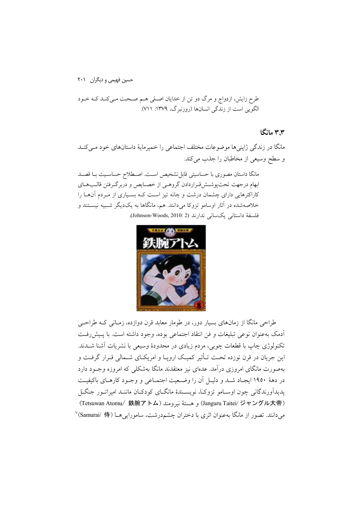طرح زایش، ازدواج و مرگ دو تن از خدایان اصلی هـم صـحبت مـیکنـد کـه خـود الگویی است از زندگی انسانها (روزنبرگ، ۱۳۷۹: ۷۱۱).

۳٫۳ مانگا

مانگا در زندگی ژاپنی ها موضوعات مختلف اجتماعی را خمیرمایهٔ داستانهای خود مـی کنـد و سطح وسیعی از مخاطبان را جذب می کند.

مانگا داستان مصوری با حساسیتی قابل تشخیص اسـت. اصـطلاح حساسـیت بــا قصــد ابهام درجهت تحتپوشش قراردادن گروهمي از خصايص و دربرگرفتن قالبهاي کاراکترهایی دارای چشمان درشت و چانه تیز اسـت کــه بسـیاری از مــردم آن۱مـا را خلاصهشده در آثار اوسامو تزوكا مىدانند. هم، مانگاها به یکدیگر شـبیه نیسـتند و فلسفة داستانى يكسانى ندارند (Johnson-Woods, 2010: 2).



طراحی مانگا از زمانهای بسیار دور، در طومار معابد قرن دوازده، زمـانی کـه طراحـی أدمك بهعنوان نوعي تبليغات و فن انتقاد اجتماعي بوده، وجود داشته است. با يـيش(فـت تکنولوژی چاپ با قطعات چوبی، مردم زیادی در محدودهٔ وسیعی با نشریات آشنا شــدند. این جریان در قرن نوزده تحت تـأثیر کمیـک ارویـا و امریکـای شــمالی قــرار گرفـت و بهصورت مانگای امروزی درآمد. عدمای نیز معتقدند مانگا بهشکلی که امروزه وجـود دارد در دههٔ ۱۹۵۰ ایجیاد شید و دلیل آن را وضیعت اجتماعی و وجبود کارهبای پاکیفیت يديدآورندگاني چون اوسـامو تزوكـا، نويســندۀ مانگــاي كودكــان ماننــد اميراتــور جنگــل (Tetsuwan Atomu/ 鉄腕アトム) و هستهٔ نیرومند (エtsuwan Atomu/ 鉄腕アトム) میدانند. تصور از مانگا بهعنوان اثری با دختران چشمدرشت، سامورایی هـا (Samurai/ 侍)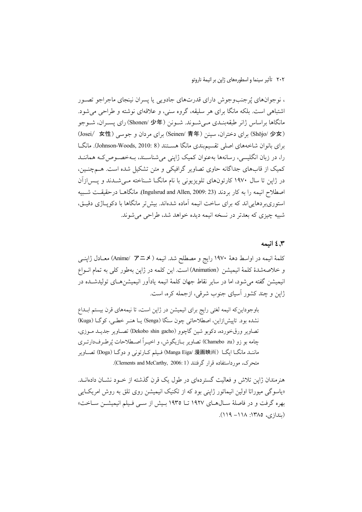، نوجوانهای پُرجنبوجوش دارای قدرتهای جادویی یا پسران نینجای ماجراجو تصـور اشتباهی است. بلکه مانگا برای هر سلیقه، گروه سنی، و علاقهای نوشته و طراحی می شود. مانگاها براساس ژانر طبقهبنـدي مـي شــوند. شــونن (小年 /Shonen) راي يســران، شــوجو (Shōjo/ 少女) برای دختران، سینن (Seinen/ 青年) برای مردان و جوسی (Josei/ 女性) برای بانوان شاخههای اصلی تقسیم بندی مانگا هسـتند (Johnson-Woods, 2010: 8). مانگــا را، در زبان انگلیسی، رسانهها بهعنوان کمیک ژاپنی می شناسـند، بـهخصـوص کـه هماننـد کمیک از قابهای جداگانه حاوی تصاویر گرافیکی و متن تشکیل شده است. هـمچنـین، در ژاپن تا سال ۱۹۷۰ کارتونهای تلویزیونی با نام مانگ اشـناخته مـیشـدند و پـسرازآن اصطلاح انيمه را به كار بردند (Ingulsrud and Allen, 2009: 23). مانگاهـا درحقيقــت شــبيه استوریبر دهایی اند که برای ساخت انیمه آماده شدهاند. بیش تر مانگاها با دکوپاژی دقیـق، شبیه چیزی که بعدتر در نسخه انیمه دیده خواهد شد، طراحی می شوند.

#### ٤.٣ انتمه

كلمة انيمه در اواسط دههٔ ۱۹۷۰ رايج و مصطلح شد. انيمه ( Anime/  $\, {\cal F} \! = \! \! \! 2$  معـادل ژاپنــی و خلاصهشدهٔ کلمهٔ انیمیشن (Animation) است. این کلمه در ژاپن بهطور کلی به تمام انبواع انیمیشن گفته می شود، اما در سایر نقاط جهان کلمهٔ انیمه یاداَور انیمیشن هـای تولیدشــده در ژاپن و چند کشور اسیای جنوب شرقی، ازجمله کره، است.

باوجوداین که انیمه لغتی رایج برای انیمیشن در ژاپن است، تا نیمههای قرن بیستم ابـداع نشده بود. تاييش ازاين، اصطلاحاتي چون سنگا (Senga) يـا هنـر خطـي، كوگـا (Kuga) تصاوير ورق خورده، دكوبو شين گاچوو (Dekobo shin gacho) تصاوير جديـد مـوزى، چامه بو زو (Chamebo zu) تصاویر بـازیگوش، و اخیـراً اصــطلاحات یُرطـرفدارتــری ماننـد مانگـا ایگـا (Manga Eiga/ 漫画映画) فـیلم کـارتونی و دوگـا (Doga) تصـاویر متحرک، مورداستفاده قرار گرفتند (Clements and McCarthy, 2006: 1).

هنرمندان ژاین تلاش و فعالیت گستردهای در طول یک قرن گذشته از خــود نشــان دادهانــد. «پاسوگی میوراتا اولین انیماتور ژاپنی بود که از تکنیک انیمیشن روی تلق به روش امریک ایی بهره گرفت و در فاصلهٔ سـال۱۹۲۷ تــا ۱۹۳۵ بـیش از ســی فـیلم انیمیشــن سـاخت»  $(119 - 111)$   $(417)$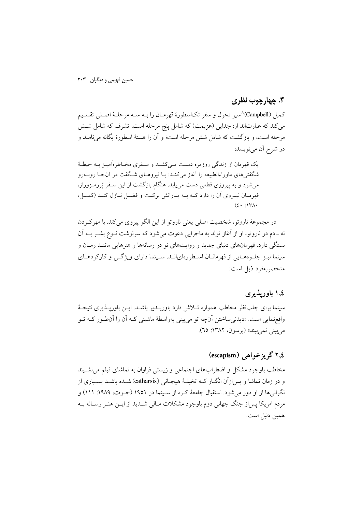## ۴. ڇهارچوب نظري

كمبل (Campbell)^سير تحول و سفر تكاسطورهٔ قهرمـان را بــه ســه مرحلــهٔ اصــلي تقســيم میکند که عبارتاند از: جدایی (عزیمت) که شامل پنج مرحله است، تشرف که شامل شش مرحله است، و بازگشت که شامل شش مرحله است؛ و آن را هستهٔ اسطورهٔ یگانه می نامـد و در شرح أن ميiويسد:

یک قهرمان از زندگی روزمره دست مبی کشـد و سـفری مخـاطرهآمیـز بـه حیطـهٔ شگفتی های ماوراءالطبیعه را آغاز میکنـد: بــا نیروهــای شــگفت در آنجــا روبــهرو می شود و به پیروزی قطعی دست می یابد. هنگام بازگشت از این سـفر پُررمـزوراز، قهرمان نیروی آن را دارد کـه بـه پـارانش برکـت و فضـل نـازل کنـد (کمبـل،  $(5 \cdot \cdot \cdot)$   $\forall \lambda$ .

در مجموعهٔ ناروتو، شخصیت اصلی یعنی ناروتو از این الگو پیروی میکند. با مهرکـردن نه ــ دم در ناروتو، او از آغاز تولد به ماجرایی دعوت میشود که سرنوشت نــوع بشــر بــه آن بستگی دارد. قهرمانهای دنیای جدید و روایتهای نو در رسانهها و هنرهایی ماننـد رمـان و سینما نیـز جلـوههـایی از قهرمانــان اسـطورهای|نــد. ســینما دارای ویژگــی و کارکردهــای منحصر بهفرد ذيل است:

#### ١٫٤ باوريذيري

سینما برای جلب نظر مخاطب همواره تــلاش دارد باوریــذیر باشــد. ایــن باوریــذیری نتیجــهٔ واقعزمايي است. «ديدني ساختن أنچه تو مي بيني بهواسطهٔ ماشيني کـه أن را أن£ور کـه تـو مي بيني نمي بينك» (برسون، ١٣٨٢: ٦٥).

## (escapism) کی یز خواهی (escapism)

مخاطب باوجود مشکل و اضطرابهای اجتماعی و زیستی فراوان به تماشای فیلم می نشـیند و در زمان تماشا و پس ازآن انگــار كــه تخيلــهٔ هيجــاني (catharsis) شــده باشــد بســياري از نگرانی۵ا از او دور می شود. استقبال جامعهٔ کـره از سـینما در ۱۹۵۱ (جـوت، ۱۹۸۹: ۱۱۱) و مردم امریکا پس|ز جنگ جهانی دوم باوجود مشکلات مـالی شــدید از ایــن هنــر رســانه بــه همين دليل است.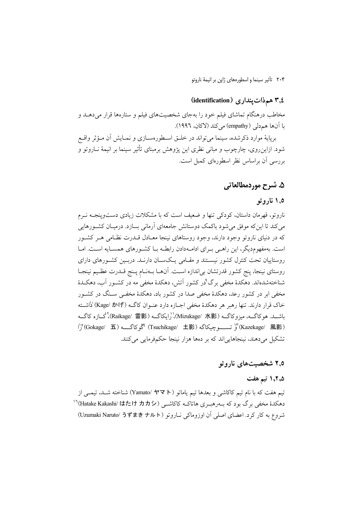## ۳٫٤ همذات پنداری (identification)

مخاطب درهنگام تماشای فیلم خود را بهجای شخصیتهای فیلم و ستارهها قرار میدهــد و با آنها هم دلی (empathy) می کند (لاکان، ۱۹۹۲).

برپایهٔ موارد ذکرشده، سینما میتواند در خلـق اسـطورهسـازی و نمـایش آن مـؤثر واقـع شود. ازاین٫وی، چارچوب و مبانی نظری این پژوهش برمبنای تأثیر سینما بر انیمهٔ نــاروتو و بررسی آن براساس نظر اسطورهای کمبل است.

## ۵. شرح موردمطالعاتی

#### ۰٫۵ نارو تو

ناروتو، قهرمان داستان، کودکی تنها و ضعیف است که با مشکلات زیادی دستوینجـه نــرم می کند تا این که موفق می شود باکمک دوستانش جامعهای آرمانی بسازد. درمیـان کشـورهایی که در دنیای ناروتو وجود دارند، وجود روستاهای نینجا معـادل قــدرت نظــامی هــر کشــور است. بهمفهوم دیگر، این راهـی بـرای ادامـهدادن رابطـه بـا کشـورهای همسـایه اسـت. امـا روستاییان تحت کنترل کشور نیسـتند و مقـامی یـکسـان دارنـد. دربـین کشـورهای دارای روستاي نينجا، پنج كشور قدرتشان بى|ندازه اسـت. آنهــا بــهنــام پــنج قــدرت عظـيم نينجــا شناختهشدهاند. دهکدهٔ مخفی برگ°در کشور اَتش، دهکدهٔ مخفی مه در کشـور اَب، دهکـدهٔ مخفی ابر در کشور رعد، دهکدهٔ مخفی صدا در کشور باد، دهکدهٔ مخفــی ســنگ در کشــور خاک قرار دارند. تنها رهبر هر دهکدهٔ مخفی اجـازه دارد عنـوان کاگـه (Kage/ t \*۱) 'ذاشـته باشــد. هو كاگــه، ميزوكاگــه (Mizukage/ 水影)،'(رايكاگــه (Raikage/ 雷影)،'كــازه كاگــه  $\binom{1}{2}$ (Gokage/ 五) آر تســـوجِيكاگه (Tsuchikage/ 土影) فَكَو كاگــــه (Kazekage/ 風影) ۔<br>تشکیل مے دھند، نینجاھایے اند که بر دوھا ھزار نینجا حکمۂِ مائے مے کنند.

#### ۲٫۵ شخصیتهای ناروتو

## ۰٫۲٫۵ تیم هفت

تیم هفت که با نام تیم کاکاشی و بعدها تیم یاماتو (Yamato/ t7 र h) شناخته شــد، تیمــی از دهکدهٔ مخفی برگ بود که بــهرهبـری هاتاکــه کاکاشــی (Hatake Kakashi/ lまたけ カカシ) شروع به كار كرد. اعضاى اصلى أن اوزوماكي نـاروتو (Uzumaki Naruto/ うずまき ナルト)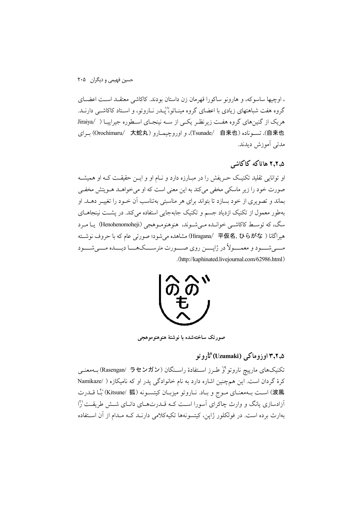، اوچیها ساسوکه، و هارونو ساکورا قهرمان زن داستان بودند. کاکاشی معتقــد اســت اعضــای گروه هفت شباهتهای زیادی با اعضای گروه مینـاتو، ۱٫ پـدر نــاروتو، و اســتاد کاکاشــی دارنــد. هریک از گنینهای گروه هفت زیرنظر یکبی از سـه نینجـای اسـطوره جیراییـا ( /Jiraiya 自来也)، تسوناده (Tsunade/ 自来也)، و اوروچیمارو (Orochimaru/ 大蛇丸) برای مدتی آموزش دیدند.

۲.۲.۵ هاتاکه کاکاشه

او توانایی تقلید تکنیک حـریفش را در مبـارزه دارد و نــام او و ایــن حقیقــت کــه او همیشــه صورت خود را زیر ماسکی مخفی میکند به این معنی است که او میخواهــد هــویتش مخفــی بماند و تصویری از خود بسازد تا بتواند برای هر مناسبتی بهتناسب آن خـود را تغییـر دهــد. او بهطور معمول از تکنیک ازدیاد جسم و تکنیک جابهجایی استفاده می کند. در پشت نینجاهـای سگ، که توسـط کاکاشـی خوانـده مـیشـوند، هنوهنومـوهجی (Henohenomoheji) یـا مـرد هيراگانا ( Hiragana/ 平仮名, ひらがな) مشاهده مي شود؛ صورتي عام كه با حروف نوشــته مسی شـــود و معمـــولأ در ژاپـــن روي صـــورت مترســـكهـــا ديـــده مـــي شـــود (http://kaphinated.livejournal.com/62986.html).



صورتک ساختهشده با نوشتهٔ هنوهنوموهجی

## ۲٫۲٫۵ او زوماکي (Uzumaki) 'نارو تو

تكنيكهاي مارييچ ناروتو <sup>9</sup>ل طـرز اســتفادهٔ راسـنگان (Rasengan/ ラセンガン) بــهمعنــي كرة گردان است. اين همچنين اشاره دارد به نام خانوادگي پدر او كه ناميكازه ( /Namikaze 波風) اسـت بــهمعنــاي مــوج و بــاد. نــاروتو ميزبــان كيتســونه (Witsune/ 狐) بْـا قــدرت آزادسازی پانگ و وارث چاکرای اَسورا است کـه قــدرتهـای دانـای شــش طریقــت '{ا بهارث برده است. در فولکلور ژاپن، کیتسونهها تکیهکلامی دارنید کیه میدام از آن استفاده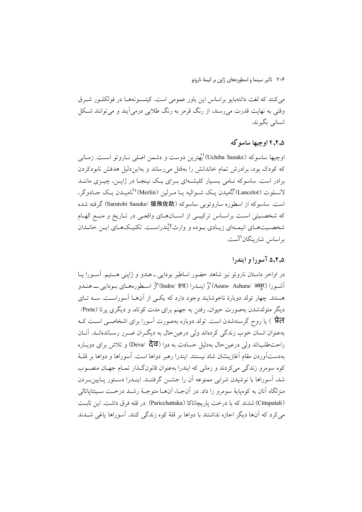می کنند که لغت داتتهبایو براساس این باور عمومی است. کیتسـونههـا در فولکلـور شـرق وقتي به نهايت قدرت مي رسند، از رنگ قرمز به رنگ طلايي درمي آيند و مي توانند شــکل انسانی بگیرند.

## ۶٫۲٫۵ اوچیها ساسو که

اوچيها ساسو كه (Uchiha Sasuke) "يهترين دوست و دشمن اصلي نياروتو است. زمياني که کودک بود، برادرش تمام خاندانش را بهقتل میرساند و بهایندلیل هدفش نابودکردن برادر است. ساسوکه نـامی بسـیار کلیشـهای بـرای یـک نینجـا در ژاپــن، چیــزی ماننــد لانسلوت (Lancelot) "ناميدن يـک شــواليه يــا مــرلين (Merlin) "ناميــدن يـک جــادوگر، است. ساسوكه از اسطوره ساروتوبي ساسوكه (Sarutobi Sasuke/ 猿飛佐助) گرفته شده که شخصـیتی اسـت براسـاس ترکیبـی از انســانهــای واقعــی در تــاریخ و منبــع الهــام شخصیتهای انیمهای زیـادی بـوده و وارث<sup>1</sup>ێندراسـت. تکنیـکهـای ایـن خانـدان براساس شارينگان<sup>7</sup>آست.

## ۰٫۲٫۵ آسورا و ایندرا

در اواخر داستان ناروتو نيز شاهد حضور اساطير بودايي ــ هندو و ژاپني هستيم. آســورا يــا آشـورا (Asura- Ashura/ असुर) "و( اينــدرا (Indra/ इन्द्र)"{ اســطورههـاي بــودايي ــــ هنــدو هستند. چهار تولد دوبارهٔ ناخوشایند وجود دارد که یکسی از آنها آسوراست. سبه تبای دیگر متولدشدن بهصورت حیوان، رفتن به جهنم برای مدت کوتاه، و دیگری پرتا (Preta*)* पेत ) یا روح گرسنهشدن است. تولد دوباره بهصورت آسورا برای اشخاصـی اسـت کـه بهعنوان انسان خوب زندگی کردهاند ولی درعین حال به دیگران ضـرر رسـاندهانــد. آنــان راحت طلباند ولی درعین حال بهدلیل حسادت به دوا (Deva/ देव) و تلاش برای دوبــاره بهدستآوردن مقام آغازينشان شاد نيستند. ايندرا رهبر دواها است. آسوراها و دواها بر قلـهٔ کوه سومرو زندگی میکردند و زمانی که ایندرا بهعنوان قانونگذار تمـام جهـان منصـوب شد، آسوراها با نوشیدن شرابی ممنوعه آن را جشــن گرفتنــد. اینــدرا دســتور پــایین بــردن منزلگاه آنان به کوهپايهٔ سومرو را داد. در آنجــا، آنهــا متوجــهٔ رشــد درخــت ســيتتاياتالي (Cittapatali) شدند که با درخت یاریچاتاکا (Paricchattaka) در قله فرق داشت. این ثابت مي كرد كه آنها ديگر اجازه نداشتند با دواها بر قلهٔ كوه زندگي كنند. آسوراها ياغي شــدند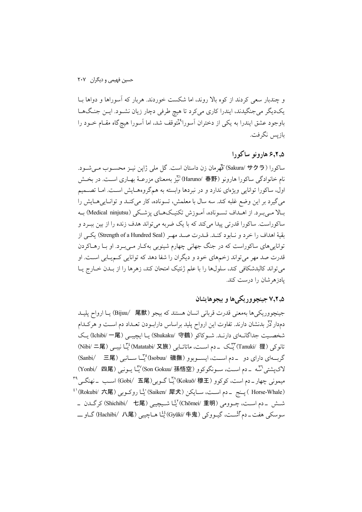و چندبار سعی کردند از کوه بالا روند، اما شکست خوردند. هربار که آسوراها و دواها بـا یکدیگر میجنگیدند، ایندرا کاری میکرد تا هیچ طرفی دچار زیان نشـود. ایـن جنـگ۱هـا باوجود عشق ايندرا به يكي از دختران آسورا°لمُتوقف شد، اما آسورا هيچگاه مقـام خــود را بازپس نگرفت.

#### ۶٫۲٫۵ هارونو ساکورا

ساكورا (Sakura/ サクラ) نقّهرمان زن داستان است. گل ملي ژاين نيـز محســوب مــي شــود. نام خانوادگی ساکورا هارونو (Haruno/ 春野)'آیز بهمعنای مزرعــهٔ بهــاری اســت. در بخــش اول، ساکورا توانایی ویژهای ندارد و در نبردها وابسته به همگروههـایش اسـت. امـا تصــمیم می گیرد بر این وضع غلبه کند. سه سال با معلمش، تسوناده، کار میکند و توانایی هایش را بـالا مـيبـرد. از اهـداف تسـوناده، آمـوزش تكنيـكـهـاي پزشـكي (Medical ninjutsu) بـه ساکوراست. ساکورا قدرتی پیدا میکند که با یک ضربه می تواند هدف زنده را از بین بب د و بقيهٔ اهداف را خرد و نـابود كنـد. قــدرت صــد مهـر (Strength of a Hundred Seal) يكـي از تواناییهای ساکوراست که در جنگ جهانی چهارم شینوبی بهکـار مـیبـرد. او بــا رهــاکردن قدرت صد مهر می تواند زخمهای خود و دیگران را شفا دهد که توانایی کـمیـابی اسـت. او می تواند کالبدشکافی کند، سلولها را با علم ژنتیک امتحان کند، زهرها را از بـدن خـارج يـا یادز هر شان را درست کند.

## ۷٫۲٫۵ جینچو ور یکی ها و بیجو هایشان

جينچووريكيها بهمعني قدرت قرباني انسان هستند كه بيجو (Bijuu/ 尾獣) يـا ارواح پليــد دمدار لار بدنشان دارند. تفاوت این ارواح پلید براساس دارابودن تعـداد دم اسـت و هرکـدام شخصیت جداگانـهای دارنـد. شـوکاکو (@Shukaku/ 守鶴) یـا ایچیبـی (Ichibi/ ¬尾) یـک تانوکی (Tanuki/ 狸 بیت) این (Matatabi/ 又旅) تانوکی (T $^{\mathfrak{r}}$  (Tanuki/ 狸) تانوکی گربسهای دارای دو \_دم اسست، ایسسوبوو (Isobuu/ 磯撫) ° "اسسانبی (Sanbi/ – 三尾) لاكيشتي "سَّه \_دم است، سـونگوكوو (Son Gokuu/ 孫悟空) "يَّا يـونبي (Yonbi/ 四尾) میمونی چھار۔دم است، کوکوو (Kokuō/ 穆王) آیا گـوبی (Gobi/ 五尾) اسـب ۔نھنگـی \*\*  $^{\mathfrak{t}}$  (Horse-Whale) بنج دم اسـت، سـايكن (Saiken/ 扉犬) يا روكـوبى (Rokubi/ 大尾) شــش \_دم اسـت، چــوومي (Chōmei/ 重明) "يٺا شــيچيبي (Shichibi/ 七尾) كرگــدن \_ سوسکي هفت\_دم آئسـت، گيـووکي (Gyūki/ 牛鬼) يُٺا هـاچيبي (Hachibi/ 八尾) گــاو ــــــــــــــــــــــــــ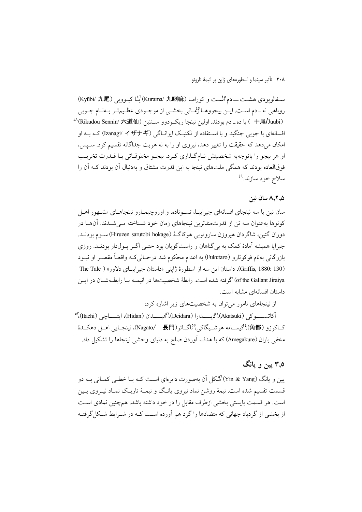سفالويودي هشت ـــ دم اُنْسـت و كورامـا (Kurama/ 九喇嘛) يَـْمَا كيــووبي (Kyūbi/ 九尾) روباهي نه ـ دم اسـت. ايــن بيجووهــالأمْــاني بخشــي از موجــودي عظـيمتـر بــهنــام جــوبي <sup>14</sup> ) یا ده ـ دم بودند. اولین نینجا ریکـودوو ســننین (Rikudou Sennin/ 六道仙) افسانهای با جوبی جنگید و با استفاده از تکنیک ایزانـاگی (Izanagi/ イザナギ) کـه بـه او امکان می<mark>.دهد که حقیقت را تغییر دهد، نیروی او را به نه هویت جداگانه تقسیم کرد. سـپس،</mark> او هر بيجو را باتوجهبه شخصيتش نــامگــذاري كــرد. بيجــو مخلوقــاتي بــا قــدرت تخريــب فوقالعاده بودند که همگی ملتهای نینجا به این قدرت مشتاق و بهدنبال آن بودند کـه آن را سلاح خود سازند.<sup>٤٩</sup>

#### ۰٫۲٫۵ سان نین

سان نین یا سه نینجای افسانهای جیراییـا، تسـوناده، و اوروچیمـارو نینجاهـای مشـهور اهـا کونوها بهعنوان سه تن از قدرتمندترین نینجاهای زمان خود شـناخته مـی شـدند. آنهــا در دوران گنین، شاگردان هیروزن ساروتوبی هوکاگ (Hiruzen sarutobi hokage) سـوم بودنــد. جیرایا همیشه آمادهٔ کمک به بی گناهان و راستگویان بود حتبی اگـر پـولدار بودنــد. روزی بازرگانی بهنام فوکوتارو (Fukutaro) به اعدام محکوم شد درحـالی کــه واقعــاً مقصــر او نبــود (Griffis, 1880: 130). داستان این سه از اسطورهٔ ژاینی «داستان جیراییـای دلاور» ( The Tale of the Gallant Jiraiya) كُرفته شده است. رابطهٔ شخصيتها در انيمـه بـا رابطـهشـان در ايـن داستان افسانهای مشابه است.

از نینجاهای نامور می توان به شخصیتهای زیر اشاره کرد:

آکاتســــو کې (Akatsuki)،'ڈىـــــدارا (Deidara)،'همـــــدان (Hidan)، ايتـــــاچى (Itachi)،'' كـاكوزو (角都)، محيسـامه هوشــيگاكي، °ناگــاتو(Nagato/ 長門)، نينجـايي اهــل دهكــدة مخفی باران (Amegakure) که با هدف آوردن صلح به دنیای وحشی نینجاها را تشکیل داد.

# ۳٫۵ پین و یانگ

یین و یانگ (Yin & Yang)<sup>۹</sup>شکل اَن بهصورت دایرهای اسـت کــه بــا خطــی کمــانی بــه دو قسمت تقسیم شده است. نیمهٔ روشن نماد نیروی یانـگ و نیمـهٔ تاریـک نمـاد نیــروی پــین است. هر قسمت بایستی بخشی ازطرف مقابل را در خود داشته باشد. همچنین نمادی است از بخشی از گردباد جهانی که متضادها را گرد هم آورده است کـه در شــرابط شــکل گرفتــه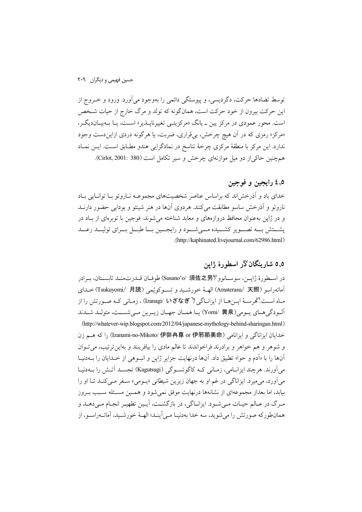توسط تضادها حرکت، دگردیسی، و پیوستگی دائمی را بهوجود میآورد. ورود و خــروج از این حرکت بیرون از خود حرکت است، همانگونه که تولد و مرگ خارج از حیات شـخص است. محور عمودي در مرکز پين ــ پانگ «مرکزيتــي تغييرناپـــذير» اســت، پــا بـــه پيــان١يگــر ، «مرکز» رمزی که در آن هیچ چرخش، بر قراری، ضربت، یا هرگونه دردی ازاین دست وجود ندارد. این مرکز با منطقهٔ مرکزی چرخهٔ تناسخ در نمادگرایی هندو مطـابق اسـت. ایــن نمــاد همچنین حاکمیاز دو میل موازنهای چرخش و سیر تکامل است (Cirlot, 2001: 380).

## ٥,٤ رايجين و فوجين

خدای باد و آذرخش اند که براساس عناصر شخصیتهای مجموعـه نــاروتو بــا توانــایی بــاد ناروتو و اَذرخش ساسو مطابقت میکنند. هردوی اَنها در هنر شینتو و بودایی حضور دارنــد و در ژاپن بهعنوان محافظ دروازههای و معابد شناخته می شوند. فوجین با توبرهای از باد در یشتش بسه تصبویر کشسیده مسی شسود و رایجسین بسا طبسل بسرای تولیسد رعسد .(http://kaphinated.livejournal.com/62986.html)

## 0,0 شار بنگان<sup>9</sup>ر اسطورهٔ ژاپن

در اسـطورهٔ ژاپــن، سوسـانوو (Susano'o/ 須佐之男 طوفـان قــدرتمنـد تابسـتان، بـرادر آماتهراسو (Amaterasu/ 天照) الهـهٔ خورشـيد و تِسـوكويُمي (Tsukuyomi/ 月読)خـداي ماه است؟ هرسـهٔ ایــنهـا از ایزانـاگی (" Izanagi/ いざなぎ) ، زمـانی کـه صـورتش را از آلـودگي هـاي يـومي (Yomi/ 黄泉) يـا همـان جهـان زيـرين مـي شسـت، متولـد شـدند (http://whatever-wip.blogspot.com/2012/04/japanese-mythology-behind-sharingan.html) خدايان ايزاناگي و ايزانامي (Izanami-no-Mikoto/ 伊弉冉尊 or 伊邪那美命) را كه هـم زن و شوهر و هم خواهر و برادرند فراخواندند تا عالم مادی را بیافرینند و بهاین ترتیب، می توان آنها را با «اَدم و حوا» تطبیق داد. آنها درنهایت جزایر ژاپن و انبـوهی از خـلدایان را بــهدنیــا می اَورند. هرچند ایزانــامی، زمــانی کــه کاگوتســوگی (Kagutsugi) تجســد اَتــش را بــهدنیــا میآورد، می میرد. ایزاناگی در غم او به جهان زیرین شیطانی «پـومی» سـفر مـیکنـد تـا او را بیابد، اما بعداز مجموعهای از نشانهها درنهایت موفق نمیشود و همـین مسـئله سـبب بـروز مرگ در عـالم حيـات مـي شـود. ايزانـاگي، در بازگشـت، آيـين تطهيـر انجـام مـي دهـد و همانطورکه صورتش را میشوید، سه خدا بهدنیـا مـی اَینـد؛ الهـهٔ خورشـید، اَماتـهراسـو، از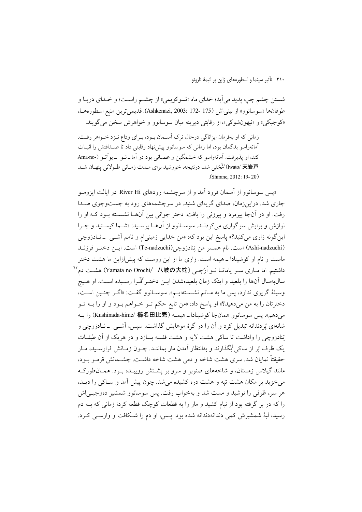شستن چشم چپ پدید می آید؛ خدای ماه «تسوکویمی» از چشم راست؛ و خـدای دریـا و طوفانها «سوسانوو» از بيني اش (175 -172 :Ashkenazi, 2003). قديمي ترين منبع اسطورههـا، «کوجيکي» و «نيهونشوکي»، از رقابتي ديرينه ميان سوسانوو و خواهرش سخن مي گويند.

زمانی که او بهفرمان ایزاناگی درحال ترک آسـمان بـود، بـرای وداع نـزد خـواهر رفـت. اَماتەراسو بدگمان بود، اما زمان<sub>ی</sub> که سوسانوو پیشiهاد رقابتی داد تا صــداقتش را اثبــات کند، او یذیرفت. آماتهراسو که خشمگین و عصبانی بود در آما۔نــو \_پواّتــو (-Ama-no Iwato/ 天岩戸)المخفى شد، درنتيجه، خورشيد براي مـدت زمـاني طـولاني ينهـان شـد (Shirane, 2012; 19-20)

«پس سوسانوو از اَسمان فرود اَمد و از سرچشمه رودهای River Hi در ایالت ایزومـو جاری شد. دراینزمان، صدای گریهای شنید. در سرچشمههای رود به جستوجوی صـدا رفت. او در آنجا پیرمرد و پیرزنی را یافت. دختر جوانی بین آنهــا نشســته بــود کــه او را .<br>نوازش و برایش سوگواری میکردنــد. سوســانوو از آنهــا پرسـید: «شــما کیســتید و چــرا اين گونه زاري مي کنيد؟» پاسخ اين بود که: «من خدايي زميني ام و نامم آشــي ــ نــادزوچي (Ashi-nadzuchi) است. نام همسر من تِنادزوچی(Te-nadzuchi) است. ایسن دختـر فرزنــد ماست و نام او کوشینادا ــ هیمه است. زاری ما از این روست که پیش|زاین ما هشت دختر داشتیم. اما مباری سبر یاماتیا نبو اُرُجبی (Yamata no Orochi/ A岐の大蛇) هشت دم <sup>۲۲</sup> سالبهسال آنها را بلعید و اینک زمان بلعیدهشدن ایــن دختـر لقـرا رسـیده اســت. او هــیچ وسیلهٔ گریزی ندارد، پس ما به مـاتم نشسـتهایـم». سوسـانوو گفـت: «اگـر چنـین اسـت، دخترتان را به من مي<هيد؟» او پاسخ داد: «من تابع حكم تـو خـواهم بـود و او را بــه تــو مي دهم». يس سوسانوو همانجا كوشينادا \_ هيمـه (Kushinada-hime/ 櫛名田比売) را بـه شانهای پُردندانه تبدیل کرد و آن را در گرهٔ موهایش گذاشت. سپس، اَشــی ِ \_ نــادزوچی و تِنادزوچی را واداشت تا ساکی هشت لایه و هشت قفسه بسازد و در هریک از آن طبقــات یک ظرف پُر از ساکی ٔٔبگذارند و بهانتظار اَمدن مار بماننـد. چــون زمــانش فرارســید، مــار حقيقتاً نمايان شد. سرى هشت شاخه و دمى هشت شاخه داشـت. چشــمانش قرمـز بــود، مانند گیلاس زمستان، و شاخههای صنوبر و سرو بر یشتش روییـده بـود. همـانطورکـه می خزید بر مکان هشت تپه و هشت دره کشیده می شد. چون پیش آمد و سـاکی را دیـد، هر سر، ظرفی را نوشید و مست شد و بهخواب رفت. پس سوسانوو شمشیر دهوجبهیاش را که در بر گرفته بود از نیام کشید و مار را به قطعات کوچک قطعه کرد؛ زمانی که بــه دم رسید، لبهٔ شمشیرش کمی دندانهدندانه شده بود. پـس، او دم را شـکافت و وارســی کــرد.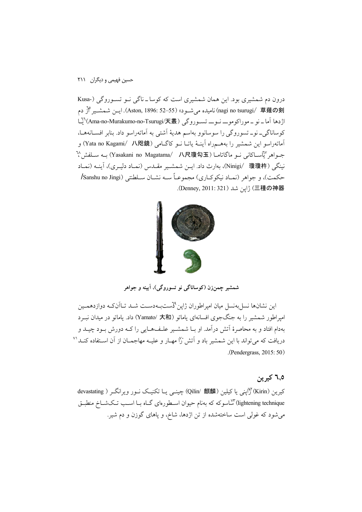درون دم شمشیری بود. این همان شمشیری است که کوسا ـ ناگی نــو تســوروگی (-Kusa inagi no tsurugi/ 草薙の剣) ناميده مي شــود» (52–52 .Aston, 1896: 52). ايــن شمشــير °آز دم اژدها آما ــ نو ــ موراكوموــــ نــوــــ تســوروگي (Ama-no-Murakumo-no-Tsurugi/天叢) ٽيل کوساناگی۔نو۔تسوروگی را سوسانوو بهاسم هدیهٔ اَشتی به اَماتهراسو داد. بنابر افســانههــا، آماتهراسو این شمشیر را بههــمراه آینــهٔ یاتــا نــو کاگــامی (Yata no Kagami/ 八咫鏡) و جبواهر "ياسساكاني نبو ماگاتامـا (Yasakani no Magatama/ 八尺瓊勾玉) بـه سـلفش " نينگي (Ninigi/ 瓊瓊杵)، بهارث داد. ايـن شمشـير مقـدس (نمـاد دليـري)، آينـه (نمـاد حکمت)، و جواهر (نمـاد نيکوکـاري) مجموعـاً سـه نشـان سـلطنتي (Sanshu no Jingi) .(Denney, 2011: 321) ژاین شد (Denney, 2011: 321).



شمشير چمنزن (کوساناگي نو تسوروگي)، آيينه و جواهر

این نشانها نسل بهنسل میان امیراطوران ژاین <sup>9</sup>دست بـهدسـت شــد تــاآنکــه دوازدهمــین امیراطور شمشیر را به جنگجوی افسانهای یاماتو (Yamato/ 大和) داد. یاماتو در میدان نب د .<br>بهدام افتاد و به محاصرهٔ آتش درآمد. او بــا شمشــیر علــف&ــایی را کــه دورش بــود چیــد و دریافت که می تواند یا این شمشیر یاد و آتش (۱٬ مهبار و علیـه مهاجمـان از آن اسـتفاده کنـد <sup>۷۱</sup> .(Pendergrass,  $2015:50$ )

## ٦,٥ کيرين

كيرين (Kirin) أَنَّابِني يا كيلين (@Qilin/ 麒麟) چينـي يــا تكنيـك نــور ويرانگــر ( devastating lightening technique) تشاسوکه که بهنام حیوان اســطورهای گــاه بــا اســب تــکـشــاخ منطبــق می شود که غولی است ساختهشده از تن اژدها، شاخ، و یاهای گوزن و دم شیر.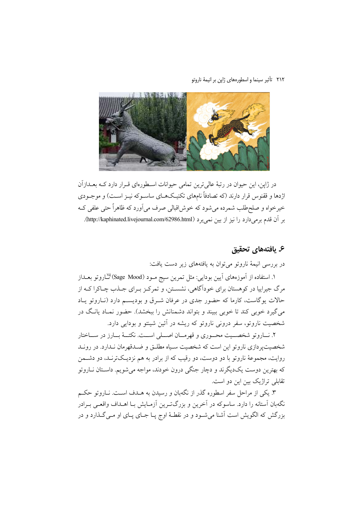#### ٢١٢ \_ تأثير سينما و اسطورههاى ژاپن بر انيمهٔ ناروتو



در ژاپن، این حیوان در رتبهٔ عالیترین تمامی حیوانات اسـطورهای قــرار دارد کــه بعــدازآن اژدها و ققنوس قرار دارند (که تصادفاً نامهای تکنیـکـهـای ساسـوکه نیـز اسـت) و موجـودی خیرخواه و صلح طلب شمرده می شود که خوش[قبالی صرف می]ورد که ظاهراً حتی علفی ک بر أن قدم برمي دارد را نيز از بين نمي برد (http://kaphinated.livejournal.com/62986.html).

## ع. يافتەهاي تحقيق

در بررسی انیمهٔ ناروتو می توان به یافتههای زیر دست یافت:

۱. استفاده از آموزههای آیین بودایی: مثل تمرین سیج مـود (Sage Mood) <sup>پُن</sup>اروتو بعــداز مرگ جیراییا در کوهستان برای خودآگاهی، نشسـتن، و تمرکـز بـرای جـذب چـاکرا کــه از حالات یوگاست، کارما که حضور جدی در عرفان شـرق و بودیسـم دارد (نـاروتو یـاد می گیرد خوبی کند تا خوبی ببیند و بتواند دشمنانش را ببخشد). حضور نمـاد یانـگ در شخصیت ناروتو، سفر درونی ناروتو که ریشه در آئین شینتو و بودایی دارد.

۲. نــاروتو شخصـــيت محــوري و قهرمــان اصـــلي اســـت. نكتــهٔ بــارز در ســـاختار شخصیتپردازی ناروتو این است که شخصیت سـیاه مطلـق و ضـدقهرمان نـدارد. در رونـد روایت، مجموعهٔ ناروتو با دو دوست، دو رقیب که از برادر به هم نزدیـکترنـد، دو دشـمن که بهترین دوست یکدیگرند و دچار جنگی درون خودند، مواجه می شویم. داسـتان نــاروتو تقابلی تراژیک بین این دو است.

۳. یکی از مراحل سفر اسطوره گذر از نگهبان و رسیدن به هــدف اســت. نــاروتو حکــم نگهبان آستانه را دارد. ساسوکه در آخرین و بزرگترین آزمـایش بـا اهــداف واقعــی بــرادر بزرگش که الگویش است آشنا می شـود و در نقطـهٔ اوج پـا جـای پـای او مـی گـذارد و در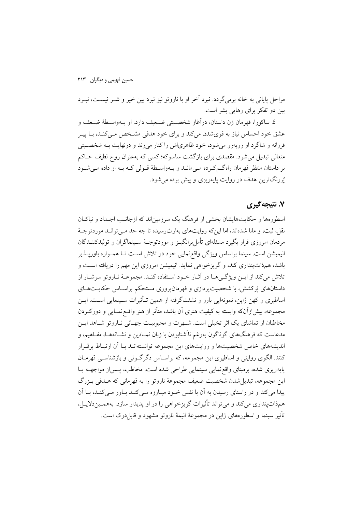مراحل پایانی به خانه برمی گردد. نیرد آخر او با ناروتو نیز نیرد بین خیر و شـر نیسـت، نیـرد بین دو تفکر برای رهایی بشر است.

٤. ساكورا، قهرمان زن داستان، در آغاز شخصــيتي ضـعيف دارد. او بــهواسـطهٔ ضـعف و عشق خود احساس نیاز به قویشدن میکند و برای خود هدفی مشـخص مـیکنـد، بـا پیـر فرزانه و شاگرد او روبهرو می شود، خود ظاهری اش را کنار می زند و درنهایت بـه شخصـیتی متعالی تبدیل می شود. مقصدی برای بازگشت ساسوکه؛ کسی که بهعنوان روح لطیف حـاکم بر داستان منتظر قهرمان راهگمکرده مے مانــد و بــهواســطهٔ قــولی کــه بــه او داده مــی شــود پُررنگترین هدف در روایت پایهریزی و پیش برده می شود.

## ۷. نتىجەگىرى

اسطورهها و حکایتهایشان بخشی از فرهنگ یک سرزمین اند که ازجانـب اجـداد و نباکـان نقل، ثبت، و مانا شدهاند، اما این که روایتهای بهارثرسیده تا چه حد مبی توانید موردتوجهٔ مردمان امروزی قرار بگیرد مسئلهای تأمل برانگیــز و موردتوجــهٔ ســینماگران و تولیدکننــدگان انیمیشن است. سینما براساس ویژگی واقعرنمایی خود در تلاش است تــا همــواره باوریــذیر باشد، همذاتپنداری کند، و گریزخواهی نماید. انیمیشن امروزی این مهم را دریافته است و ۔<br>تلاش می کند از ایــن ویژگــی هــا در آثــار خــود اســتفاده کنــد. مجموعــهٔ نــاروتو سرشــار از داستانهای پُرکشش، با شخصیتپردازی و قهرمانپروری مستحکم براسـاس حکایـتهـای اساطیری و کهن ژاپن، نمونهایی بارز و نشئتگرفته از همین تـأثیرات سـینمایی اسـت. ایــن مجموعه، بیش(زآنکه وابسته به کیفیت هنری آن باشد، متأثر از هنر واقــعرنمــایی و دورکــردن مخاطبان از تماشای یک اثر تخیلی است. شـهرت و محبوبیـت جهـانی نــاروتو شــاهد ایــن مدعاست که فرهنگهای گوناگون بهرغم ناآشنابودن با زبان نمـادین و نشــانههــا، مفــاهیم، و اندیشههای خاص شخصیتها و روایتهای این مجموعه توانستهانـد بـا آن ارتبـاط برقـرار کنند. الگوی روایتی و اساطیری این مجموعه، که براسـاس دگرگـونی و بازشناسـی قهرمـان پايەريزى شدە، برمېناي واقعرنمايى سينمايى طراحى شدە است. مخاطب، پـسراز مواجهــه بــا این مجموعه، تبدیل شدن شخصیت ضعیف مجموعهٔ ناروتو را به قهرمانی که هــدفی بـزرگ پیدا میکند و در راستای رسیدن به آن با نفس خـود مبـارزه مـیکنـد بـاور مـیکنـد، بـا آن همذات پنداري مي کند و مي تواند تأثيرات گريزخواهي را در او پديدار سازد. بههمـين دلايـل، تأثیر سینما و اسطورههای ژاپن در مجموعهٔ انبمهٔ ناروتو مشهود و قابل درک است.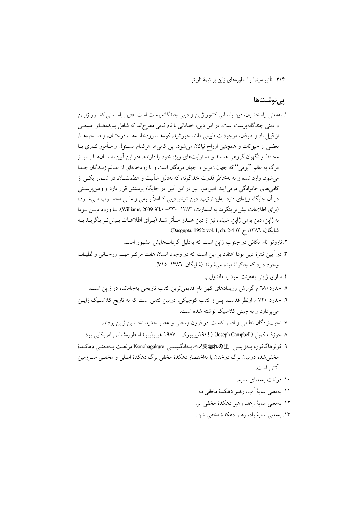# <u>پى</u>نوشتھا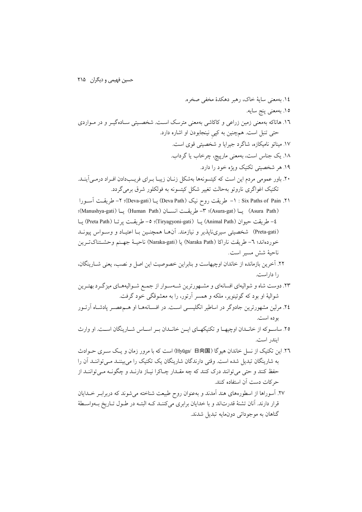١٤. بەمعنى سايۀ خاک، رهبر دهكدۀ مخفى صخره. ١٥. بەمعنى پنج سايە. ۱٦. هاتاکه بهمعنی زمین زراعی و کاکاشی بهمعنی مترسک است. شخصـیتی سـادهگیـر و در مـواردی حتی تنبل است. همچنین به کپی نینجابودن او اشاره دارد. ١٧. ميناتو ناميكازه، شاگرد جيرايا و شخصيتي قوي است. ۱۸. یک جناس است، بهمعنی مارپیچ، چرخاب یا گرداب. ۱۹. هر شخصیتی تکنیک ویژه خود را دارد. ۲۰. باور عمومی مردم این است که کیتسونهها بهشکل زنـان زیبـا بـرای فریـبدادن افـراد درمـی اَینـد. تکنیک اغواگری ناروتو بهحالت تغییر شکل کیتسونه به فولکلور شرق برمی گردد. ۲۱. Six Paths of Pain : ۱– طريقت روح نيک (Deva Path) يــا (Deva-gati)؛ ۲– طريقــت آســورا (Asura-gat) یا (Asura-gat)؛ ۳- طریقت انســان (Human Path) یــا (Manushya-gati)؛ ٤– طريقت حيوان (Animal Path) يــا (Tiryagyoni-gati)؛ ٥– طريقـت پرتــا (Preta Path) يــا (Preta-gati) شخصیتی سیریناپذیر و نیازمند. آنهـا همچنـین بـا اعتیـاد و وسـواس پیونــد خوردهاند؛ ٦– طريقت ناراكا (Naraka Path) يا (Naraka-gati) ناحيــهٔ جهــنم وحشــتناکتــرين ناحية شش مسير است. ٢٢. آخرين بازمانده از خاندان اوچيهاست و بنابراين خصوصيت اين اصل و نصب، يعني شــارينگان، را داراست. ۲۳. دوست شاه و شوالیهای افسانهای و مشـهورترین شـهسـوار از جمـع شـوالیههـای میزگـرد بهتـرین شواليۀ او يود که گوئينويږ، ملکه و همسر آرتور، را به معشوقگي خود گرفت. ٢٤. مرلین مشهورترین جادوگر در اساطیر انگلیســی اســت. در افســانههــا او هــم،عصــر پادشــاه آرتــور بو ده است. ۲۵. ساسـو که از خانــدان اوچیهــا و تکنیکهــای ایــن خانــدان بــر اســاس شــارینگان اســت. او وارث ايندر است. ٢٦. این تکنیک از نسل خاندان هیوگا (Hyūga/ 日向国) است که با مرور زمان و یک سـری حــوادث به شارینگان تبدیل شده است. وقتی دارندگان شارینگان یک تکنیک را می بیننـد مـی تواننـد آن را حفظ کنند و حتی می توانند درک کنند که چه مقـدار چـاکرا نیـاز دارنـد و چگونــه مــی تواننــد از حركات دست آن استفاده كنند. ۲۷. آسوراها از اسطورههای هند آمدند و بهعنوان روح طبیعت شناخته می شوند که دربراب خلدایان قرار دارند. آنان تشنهٔ قدرتاند و با خدایان برابری میکننـد کـه البتـه در طـول تـاریخ بـهواسـطهٔ گناهان به موجوداتی دونمایه تبدیل شدند.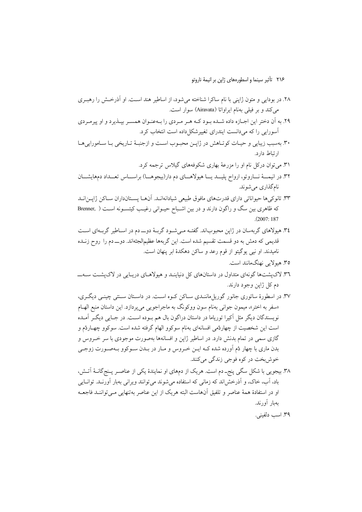٢١۶ تأثير سينما واسطورههاى ژاپن بر انيمة ناروتو

- ۲۸. در بودایی و متون ژاپنی با نام ساکرا شناخته میشود، از اساطیر هند است. او آذرخش را رهبـری می کند و بر فیلی بهنام ایراواتا (Airavata) سوار است.
- ۲۹. به آن دختر این اجـازه داده شـده بـود کـه هـر مـردي را بـهعنـوان همسـر بپـذيرد و او پيرمـردي آسورایی را که می دانست ایندرای تغییرشکل داده است انتخاب کرد.
- ۳. بهسبب زيبايي و حيـات كوتـاهش در ژاپــن محبـوب اسـت و ازجنبـهٔ تـاريخي بـا سـامورايي هـا ارتباط دارد.
	- ۳۱. می توان درکل نام او را مزرعهٔ بهاری شکوفههای گیلاس ترجمه کرد.
- ۳۲. در انیمــهٔ نــاروتو، ارواح پلیــد یــا هیولاهــای دم دار(بیجوهــا) براســاس تعــداد دمهایشــان نامگذاری میشوند.
- ٣٣. تانوكي ها حيواناتي داراي قدرتهاي مافوق طبيعي شيادانهانـد. آنهـا يسـتانداران سـاكن ژاپـن|نـد که ظاهری بین سگ و راگون دارند و در بین اشـباح حیـوانی رغیـب کیتسـونه اسـت ( Brenner,  $(2007 \cdot 187)$
- ٣٤. هیولاهای گربهسان در ژاپن محبوباند. گفتـه مـی شـود گربـهٔ دو\_دم در اسـاطیر گربـهای اسـت قدیمی که دمش به دو قسمت تقسیم شده است. این گربهها عظیمالجثهاند. دوـــ دم را روح زنــده نامیدند. او نیی یوگیتو از قوم رعد و ساکن دهکدهٔ ابر پنهان است.
	- ۳۵. هیولایی نهنگمانند است.
- ٣٦. لاکيشتها گونهاي متداول در داستانهاي کل دنياينـد و هيولاهـاي دريـايي در لاکيشـت سـهــــ دم کل ژاپن وجود دارند.
- ۳۷. در اسطورهٔ ساتوری جانور گوریل ماننـدی سـاکن کـوه اسـت. در داسـتان سـنتی چینـی دیگـری، «سفر به اختر»، ميمون جواني بهنام سون ووكونگ به ماجراجويي مي پردازد. اين داستان منبع الهــام نویسندگان دیگر مثل آکیرا توریاما در داستان دراگون بال هم بـوده اسـت. در جـایی دیگـر آمـده است اين شخصيت از چهاردُمي افسانهاي بهنام سوكوو الهام گرفته شده است. سوكوو چهـاردُم و گازی سمی در تمام بدنش دارد. در اساطیر ژاپن و افسانهها بهصورت موجودی با سر خـروس و بدن ماري با چهار دُم اَورده شده کـه ايـن خـروس و مـار در بـدن سـوکوو بـهصـورت زوجـي خوش بخت در کوه فوجي زندگي مي کنند.
- ۳۸. بیجویی با شکل سگی پنجـ دم است. هریک از دمهای او نمایندهٔ یکی از عناصـر پـنجگانـهٔ آتـش، باد، اّب، خاک، و اَذرخشlند که زمانی که استفاده میشوند می توانند ویرانی بهبار اَورنـد. توانـایی او در استفادهٔ همهٔ عناصر و تلفیق آنهاست البته هریک از این عناصر به تنهایی مـی تواننــد فاجعــه ىەيار آورند.

٣٩. اسب دلفيني.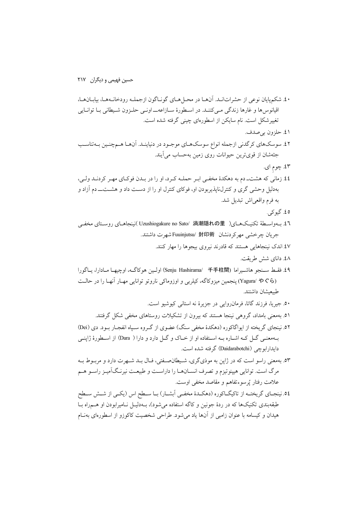- ٤٠. شكم يايان نوعي از حشراتانـد. آنهـا در محـل هـاي گونـاگون ازجملـه رودخانـههـا، بيابـانهـا، اقیانوس ها و غارها زندگی مے کننـد. در اسـطورهٔ سـازاعهــــ اونـی حلـزون شـیطانی بــا توانــایی تغییر شکل است. نام سایکن از اسطورهای چینی گرفته شده است. ١ ٤. حلزون بي صدف.
- ٤٢. سوسکهای کر گدنی ازجمله انواع سوسکهـای موجـود در دنیاینـد. آنهـا هـمجنـین بـهتناسـب جثهشان از قوىترين حيوانات روى زمين بهحساب مى آيند.
	- ٤٣. چوم اي.
- ٤٤ زماني كه هشت\_دم به دهكدهٔ مخفـي ابـر حملـه كـرد، او را در بـدن فوكـاي مهـر كردنـد ولـي، بهدلیل وحشی گری و کنترل&ناپذیربودن او، فوکای کنترل او را از دست داد و هشـت\_دم آزاد و به فرم واقعی اش تبدیل شد.
	- ٥٤. گيو کي.
- ٤٦. بــهواســطة تكنيـكـهــاي( Uzushiogakure no Sato/ 渦潮隠れの里 )نينجاهـاي روسـتاي مخفـي جريان جرخشي مهركر دنشان Fuuinjutsu/ 封印術 شهرت داشتند.
	- ٤٧.اندک نینجاهایی هستند که قادرند نیروی بیجوها را مهار کنند.
		- ٤٨. داناي شش طريقت.
- ٤٩. فقبط سنجو هاشيراما (Senju Hashirama/ 干手柱間) اولين هوكاگ، اوچيهـا مـادارا، يـاگورا (Yagura/ やぐら) پنجمین میزوکاگه، کیلربی و اوزوماکی ناروتو توانایی مهـار آنهـا را در حالـت طسعىشان داشتند.
	- ٥٠. جيريا، فرزند گاتا، فرمان(وايي در جزيرهٔ نه استاني کيوشيو است.
	- ٥١. بهمعنی بامداد، گروهی نینجا هستند که بیرون از تشکیلات روستاهای مخفی شکل گرفتند.
- ٥٢. نینجای گریخته از ایواگاکوره (دهکدهٔ مخفی سنگ) عضوی از گـروه سـیاه انفجـار بـود. دی (Dei) بهمعنـي گــل كــه اشــاره بــه اســتفاده او از خــاك و گــل دارد و دارا ( Dara) از اســطورهٔ ژاپنــي دايدارابوچي (Daidarabotchi) گرفته شده است.
- ٥٣. بهمعني راسو است كه در ژاين به موذي گري، شـيطان صـفتي، فـال بـد شـهرت دارد و مربـوط بـه مرگ است. توانایی هیپنوتیزم و تصرف انســانهــا را داراســت و طبیعــت نیرنـگ]میــز راســو هــم علامت رفتار يُرسوءتفاهم و مقاصد مخفى اوست.
- ٥٤. نینجـای گریختــه از تاکیگــاکوره (دهکــدۀ مخفــي اَبشــار) بــا ســطح اس (یکــي از شــش ســطح طبقهبندی تکنیکها که در ردهٔ جونین و کاگه استفاده میشود)، بـهدلیـل نـامیرابودن او هــمراه بـا هیدان و کیسامه با عنوان زامبی از آنها یاد می شود. طراحی شخصیت کاکوزو از اسطورهای به ام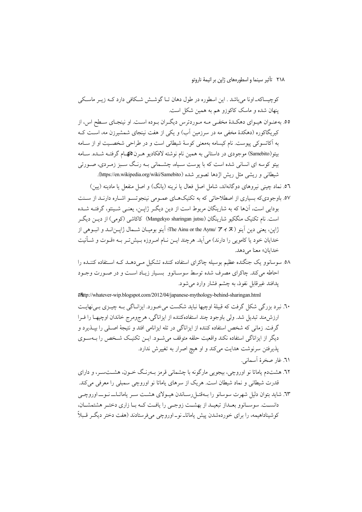کوچیساکه\_اونا می باشد . این اسطوره در طول دهان تـا گوشــش شــکافی دارد کــه زیــر ماســکی ینهان شده و ماسک کاکوزو هم به همین شکل است.

٥٥. بهعنـوان هيـواي دهكـدۀ مخفـي مـه مـوردترس ديگـران بـوده اسـت. او نينجـاي سـطح اس، از کیریگاکوره (دهکدهٔ مخفی مه در سرزمین آب) و یکی از هفت نینجای شمشیرزن مه، است کـه به آکاتسوکی پیوست. نام کیسامه بهمعنی کوسهٔ شیطانی است و در طراحی شخصیت او از سامه بیتو(Samebito) موجودی در داستانی به همین نام نوشته لافکادیو هـرن0للهـام گرفتـه شـده. سـامه بیتو کوسه ای انسانی شده است که با پوست سـیاه، چشـمانی بـه رنـگ سـبز زمـردی، صـورتی شيطاني و ريشي مثل ريش اژدها تصوير شده (https://en.wikipedia.org/wiki/Samebito).

٥٦. نماد چینی نیروهای دوگانهاند، شامل اصل فعال یا نرینه (یانگ) و اصل منفعل یا مادینه (یین)

٥٧. باوجودی که بسیاری از اصطلاحاتی که به تکنیکههای عمـومی نینجو تسـو اشـاره دارنـد از سـنت بودایی است، آنها که به شارینگان مربوط است از دین دیگر ژاپـن، یعنـی شـینتو، گرفتـه شـده است. نام تکنیک منگکیو شارینگان (Mangekyo sharingan jutsu) کاکاشی (کومی) از دیــن دیگــر ژاپن، يعني دين آينو (The Ainu or the Aynu/  $\mathcal{T} \nmid \mathcal{R}$ ) آينو بوميـان شــمال ژاپـن(نــد و انبــوهي از خدایان خود یا کامویی را دارند) می آید. هرچند ایــن نــام امــروزه بــیش تــر بــه «قــوت و شــأنیت خدايان» معنا مي دهد.

٥٨. سوسانوو يک جنگنده عظيم بوسيله چاکرای استفاده کننده تشکيل مـیدهـد کـه اسـتفاده کننـده را احاطه مي كند. چاكراي مصرف شده توسط سوسـانوو بسـيار زيـاد اسـت و در صـورت وجـود يدافند غيرقابل نفوذ، به چشم فشار وارد مي شود.

ORttp://whatever-wip.blogspot.com/2012/04/japanese-mythology-behind-sharingan.html

- **.۲.** نبرد بزرگ<sub>ی،</sub> شکل گرفت که قبیلهٔ اوچیها نباید شکست میخورد. ایزانـاگی بـه چیــزی بــینهایــت ارزش مند تبدیل شد. ولی باوجود چند استفادهکننده از ایزاناگی، هرجومرج خاندان اوچیهـا را فـرا گرفت. زمانی که شخص استفاده کننده از ایزاناگی در تله ایزانامی افتد و نتیجهٔ اصـلی را بپــذیرد و دیگر از ایزاناگی استفاده نکند واقعیت حلقه متوقف میشـود. ایـن تکنیـک شـخص را بــهسـوی پذیرفتن سرنوشت هدایت میکند و او هیچ اصرار به تغییرش ندارد.
	- ٦١. غار صخرهٔ أسماني.

٦٢. هشتدم ياماتا نو اوروچي، بيجويي مارگونه با چشماني قرمز بــهرنـگ خــون، هشــتســر، و داراي قدرت شیطانی و نماد شیطان است. هریک از سرهای یاماتا نو اوروچی سمبلی را معرفی میکند. ٦٣. شايد بتوان دليل شهرت سوسانو را بـهقتـل(رسـاندن هيـولاي هشـت سـر ياماتــاــــ نــوــــ اوروچـــي دانست. سوسـانوو بعـداز تبعيـد از بهشـت زوجـي را يافـت كـه بـا زاري دختـر هشتمشـان، کوشیناداهیمه، را برای خوردهشدن پیش یاماتاــ نو\_اوروچی میفرستادند (هفت دختر دیگــر قــبلاً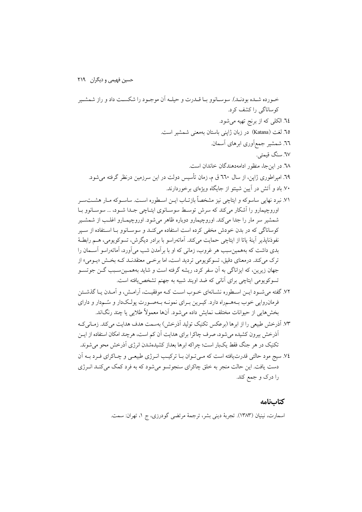## كتابنامه

اسمارت، نینیان (۱۳۸۳). تجربهٔ دینی بشر، ترجمهٔ مرتضی گودرزی، ج ۱، تهران: سمت.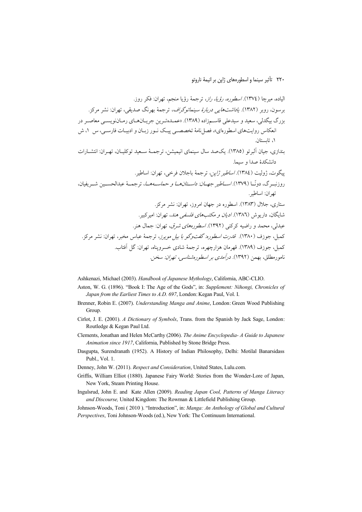Ashkenazi, Michael (2003). Handbook of Japanese Mythology, California, ABC-CLIO.

- Aston, W. G. (1896). "Book I: The Age of the Gods", in: Supplement: Nihongi, Chronicles of Japan from the Earliest Times to A.D. 697, London: Kegan Paul, Vol. I.
- Brenner, Robin E. (2007). Understanding Manga and Anime, London: Green Wood Publishing Group.
- Cirlot, J. E. (2001). A Dictionary of Symbols, Trans. from the Spanish by Jack Sage, London: Routledge & Kegan Paul Ltd.
- Clements, Jonathan and Helen McCarthy (2006). The Anime Encyclopedia- A Guide to Japanese Animation since 1917, California, Published by Stone Bridge Press.
- Dasgupta, Surendranath (1952). A History of Indian Philosophy, Delhi: Motilal Banarsidass Publ., Vol. 1.
- Denney, John W. (2011). Respect and Consideration, United States, Lulu.com.
- Griffis, William Elliot (1880). Japanese Fairy World: Stories from the Wonder-Lore of Japan, New York, Steam Printing House.
- Ingulsrud, John E. and Kate Allen (2009). Reading Japan Cool, Patterns of Manga Literacy and Discourse, United Kingdom: The Rowman & Littlefield Publishing Group.

Johnson-Woods, Toni (2010). "Introduction", in: Manga: An Anthology of Global and Cultural Perspectives, Toni Johnson-Woods (ed.), New York: The Continuum International.